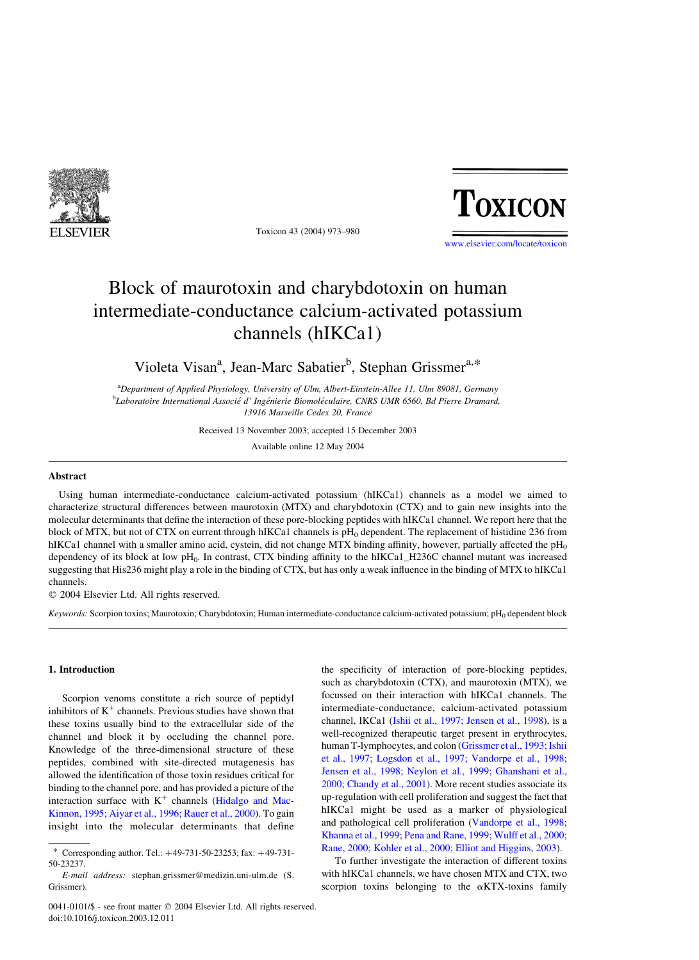

Toxicon 43 (2004) 973–980

# TOXICON

[www.elsevier.com/locate/toxicon](http://www.elsevier.com/locate/toxicon)

## Block of maurotoxin and charybdotoxin on human intermediate-conductance calcium-activated potassium channels (hIKCa1)

Violeta Visan<sup>a</sup>, Jean-Marc Sabatier<sup>b</sup>, Stephan Grissmer<sup>a,\*</sup>

<sup>a</sup>Department of Applied Physiology, University of Ulm, Albert-Einstein-Allee 11, Ulm 89081, Germany <sup>b</sup>Laboratoire International Associé d' Ingénierie Biomoléculaire, CNRS UMR 6560, Bd Pierre Dramard, 13916 Marseille Cedex 20, France

Received 13 November 2003; accepted 15 December 2003

Available online 12 May 2004

#### Abstract

Using human intermediate-conductance calcium-activated potassium (hIKCa1) channels as a model we aimed to characterize structural differences between maurotoxin (MTX) and charybdotoxin (CTX) and to gain new insights into the molecular determinants that define the interaction of these pore-blocking peptides with hIKCa1 channel. We report here that the block of MTX, but not of CTX on current through hIKCa1 channels is  $pH<sub>0</sub>$  dependent. The replacement of histidine 236 from hIKCa1 channel with a smaller amino acid, cystein, did not change MTX binding affinity, however, partially affected the  $pH_0$ dependency of its block at low  $pH_0$ . In contrast, CTX binding affinity to the hIKCa1\_H236C channel mutant was increased suggesting that His236 might play a role in the binding of CTX, but has only a weak influence in the binding of MTX to hIKCa1 channels.

 $Q$  2004 Elsevier Ltd. All rights reserved.

Keywords: Scorpion toxins; Maurotoxin; Charybdotoxin; Human intermediate-conductance calcium-activated potassium;  $pH_0$  dependent block

### 1. Introduction

Scorpion venoms constitute a rich source of peptidyl inhibitors of  $K^+$  channels. Previous studies have shown that these toxins usually bind to the extracellular side of the channel and block it by occluding the channel pore. Knowledge of the three-dimensional structure of these peptides, combined with site-directed mutagenesis has allowed the identification of those toxin residues critical for binding to the channel pore, and has provided a picture of the interaction surface with  $K^+$  channels ([Hidalgo and Mac-](#page-6-0)[Kinnon, 1995; Aiyar et al., 1996; Rauer et al., 2000](#page-6-0)). To gain insight into the molecular determinants that define the specificity of interaction of pore-blocking peptides, such as charybdotoxin (CTX), and maurotoxin (MTX), we focussed on their interaction with hIKCa1 channels. The intermediate-conductance, calcium-activated potassium channel, IKCa1 [\(Ishii et al., 1997; Jensen et al., 1998](#page-6-0)), is a well-recognized therapeutic target present in erythrocytes, human T-lymphocytes, and colon [\(Grissmer et al., 1993; Ishii](#page-6-0) [et al., 1997; Logsdon et al., 1997; Vandorpe et al., 1998;](#page-6-0) [Jensen et al., 1998; Neylon et al., 1999; Ghanshani et al.,](#page-6-0) [2000; Chandy et al., 2001\)](#page-6-0). More recent studies associate its up-regulation with cell proliferation and suggest the fact that hIKCa1 might be used as a marker of physiological and pathological cell proliferation [\(Vandorpe et al., 1998;](#page-7-0) [Khanna et al., 1999; Pena and Rane, 1999; Wulff et al., 2000;](#page-7-0) [Rane, 2000; Kohler et al., 2000; Elliot and Higgins, 2003\)](#page-7-0).

To further investigate the interaction of different toxins with hIKCa1 channels, we have chosen MTX and CTX, two scorpion toxins belonging to the  $\alpha$ KTX-toxins family

Corresponding author. Tel.:  $+49-731-50-23253$ ; fax:  $+49-731-$ 50-23237.

E-mail address: stephan.grissmer@medizin.uni-ulm.de (S. Grissmer).

<sup>0041-0101/\$ -</sup> see front matter © 2004 Elsevier Ltd. All rights reserved. doi:10.1016/j.toxicon.2003.12.011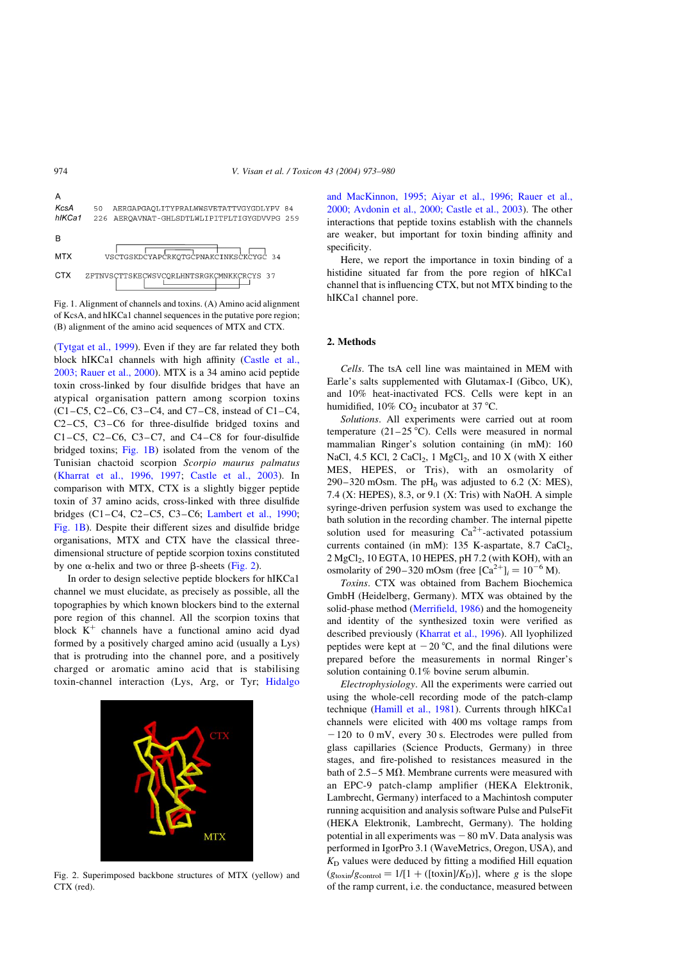



[\(Tytgat et al., 1999\)](#page-7-0). Even if they are far related they both block hIKCa1 channels with high affinity ([Castle et al.,](#page-6-0) [2003; Rauer et al., 2000\)](#page-6-0). MTX is a 34 amino acid peptide toxin cross-linked by four disulfide bridges that have an atypical organisation pattern among scorpion toxins (C1–C5, C2–C6, C3–C4, and C7–C8, instead of C1–C4, C2–C5, C3–C6 for three-disulfide bridged toxins and C1–C5, C2–C6, C3–C7, and C4–C8 for four-disulfide bridged toxins; Fig. 1B) isolated from the venom of the Tunisian chactoid scorpion Scorpio maurus palmatus [\(Kharrat et al., 1996, 1997;](#page-6-0) [Castle et al., 2003\)](#page-6-0). In comparison with MTX, CTX is a slightly bigger peptide toxin of 37 amino acids, cross-linked with three disulfide bridges (C1–C4, C2–C5, C3–C6; [Lambert et al., 1990;](#page-6-0) Fig. 1B). Despite their different sizes and disulfide bridge organisations, MTX and CTX have the classical threedimensional structure of peptide scorpion toxins constituted by one  $\alpha$ -helix and two or three  $\beta$ -sheets (Fig. 2).

In order to design selective peptide blockers for hIKCa1 channel we must elucidate, as precisely as possible, all the topographies by which known blockers bind to the external pore region of this channel. All the scorpion toxins that block  $K^+$  channels have a functional amino acid dyad formed by a positively charged amino acid (usually a Lys) that is protruding into the channel pore, and a positively charged or aromatic amino acid that is stabilising toxin-channel interaction (Lys, Arg, or Tyr; [Hidalgo](#page-6-0)



Fig. 2. Superimposed backbone structures of MTX (yellow) and CTX (red).

[and MacKinnon, 1995; Aiyar et al., 1996; Rauer et al.,](#page-6-0) [2000; Avdonin et al., 2000; Castle et al., 2003\)](#page-6-0). The other interactions that peptide toxins establish with the channels are weaker, but important for toxin binding affinity and specificity.

Here, we report the importance in toxin binding of a histidine situated far from the pore region of hIKCa1 channel that is influencing CTX, but not MTX binding to the hIKCa1 channel pore.

### 2. Methods

Cells. The tsA cell line was maintained in MEM with Earle's salts supplemented with Glutamax-I (Gibco, UK), and 10% heat-inactivated FCS. Cells were kept in an humidified,  $10\%$  CO<sub>2</sub> incubator at 37 °C.

Solutions. All experiments were carried out at room temperature  $(21-25 \degree C)$ . Cells were measured in normal mammalian Ringer's solution containing (in mM): 160 NaCl, 4.5 KCl, 2 CaCl<sub>2</sub>, 1 MgCl<sub>2</sub>, and 10 X (with X either MES, HEPES, or Tris), with an osmolarity of 290–320 mOsm. The  $pH_0$  was adjusted to 6.2 (X: MES), 7.4 (X: HEPES), 8.3, or 9.1 (X: Tris) with NaOH. A simple syringe-driven perfusion system was used to exchange the bath solution in the recording chamber. The internal pipette solution used for measuring  $Ca^{2+}$ -activated potassium currents contained (in mM):  $135$  K-aspartate,  $8.7$  CaCl<sub>2</sub>, 2 MgCl<sub>2</sub>, 10 EGTA, 10 HEPES, pH 7.2 (with KOH), with an osmolarity of 290–320 mOsm (free  $[Ca^{2+}]_i = 10^{-6}$  M).

Toxins. CTX was obtained from Bachem Biochemica GmbH (Heidelberg, Germany). MTX was obtained by the solid-phase method ([Merrifield, 1986\)](#page-6-0) and the homogeneity and identity of the synthesized toxin were verified as described previously [\(Kharrat et al., 1996\)](#page-6-0). All lyophilized peptides were kept at  $-20$  °C, and the final dilutions were prepared before the measurements in normal Ringer's solution containing 0.1% bovine serum albumin.

Electrophysiology. All the experiments were carried out using the whole-cell recording mode of the patch-clamp technique ([Hamill et al., 1981\)](#page-6-0). Currents through hIKCa1 channels were elicited with 400 ms voltage ramps from  $-120$  to 0 mV, every 30 s. Electrodes were pulled from glass capillaries (Science Products, Germany) in three stages, and fire-polished to resistances measured in the bath of 2.5–5 M $\Omega$ . Membrane currents were measured with an EPC-9 patch-clamp amplifier (HEKA Elektronik, Lambrecht, Germany) interfaced to a Machintosh computer running acquisition and analysis software Pulse and PulseFit (HEKA Elektronik, Lambrecht, Germany). The holding potential in all experiments was  $-80$  mV. Data analysis was performed in IgorPro 3.1 (WaveMetrics, Oregon, USA), and  $K<sub>D</sub>$  values were deduced by fitting a modified Hill equation  $(g_{\text{toxin}}/g_{\text{control}} = 1/[1 + ([\text{toxin}]/K_{\text{D}})]$ , where g is the slope of the ramp current, i.e. the conductance, measured between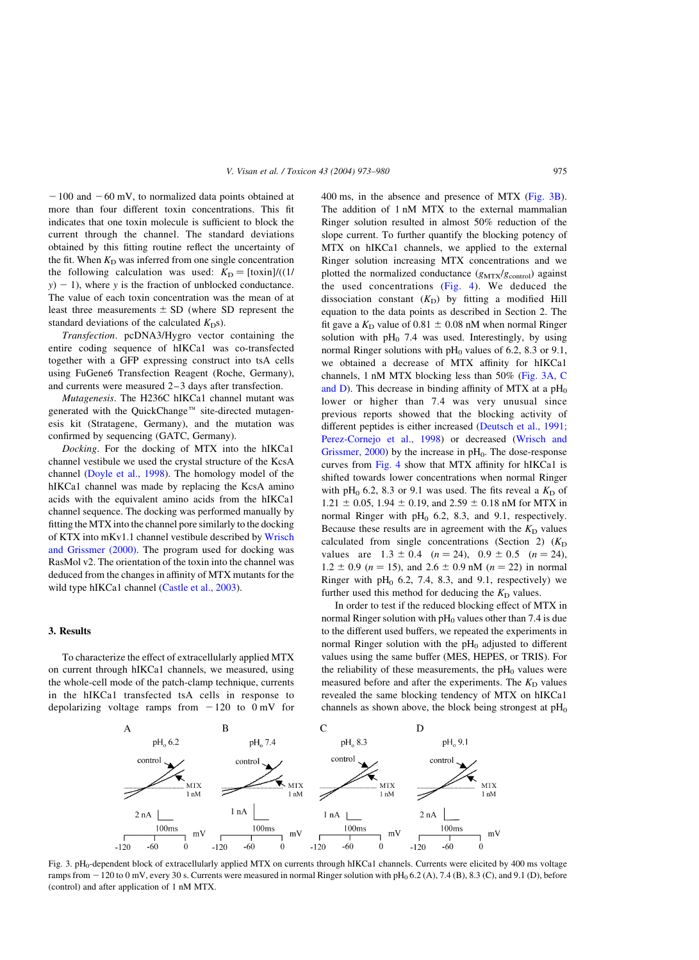$-100$  and  $-60$  mV, to normalized data points obtained at more than four different toxin concentrations. This fit indicates that one toxin molecule is sufficient to block the current through the channel. The standard deviations obtained by this fitting routine reflect the uncertainty of the fit. When  $K<sub>D</sub>$  was inferred from one single concentration the following calculation was used:  $K_D = [\text{toxin}] / ((1/\sqrt{2})^2)$  $y$ ) - 1), where y is the fraction of unblocked conductance. The value of each toxin concentration was the mean of at least three measurements  $\pm$  SD (where SD represent the standard deviations of the calculated  $K<sub>D</sub>$ s).

Transfection. pcDNA3/Hygro vector containing the entire coding sequence of hIKCa1 was co-transfected together with a GFP expressing construct into tsA cells using FuGene6 Transfection Reagent (Roche, Germany), and currents were measured 2–3 days after transfection.

Mutagenesis. The H236C hIKCa1 channel mutant was generated with the QuickChange<sup>™</sup> site-directed mutagenesis kit (Stratagene, Germany), and the mutation was confirmed by sequencing (GATC, Germany).

Docking. For the docking of MTX into the hIKCa1 channel vestibule we used the crystal structure of the KcsA channel ([Doyle et al., 1998](#page-6-0)). The homology model of the hIKCa1 channel was made by replacing the KcsA amino acids with the equivalent amino acids from the hIKCa1 channel sequence. The docking was performed manually by fitting the MTX into the channel pore similarly to the docking of KTX into mKv1.1 channel vestibule described by [Wrisch](#page-7-0) [and Grissmer \(2000\).](#page-7-0) The program used for docking was RasMol v2. The orientation of the toxin into the channel was deduced from the changes in affinity of MTX mutants for the wild type hIKCa1 channel [\(Castle et al., 2003](#page-6-0)).

#### 3. Results

To characterize the effect of extracellularly applied MTX on current through hIKCa1 channels, we measured, using the whole-cell mode of the patch-clamp technique, currents in the hIKCa1 transfected tsA cells in response to depolarizing voltage ramps from  $-120$  to  $0$  mV for 400 ms, in the absence and presence of MTX (Fig. 3B). The addition of 1 nM MTX to the external mammalian Ringer solution resulted in almost 50% reduction of the slope current. To further quantify the blocking potency of MTX on hIKCa1 channels, we applied to the external Ringer solution increasing MTX concentrations and we plotted the normalized conductance  $(g_{\text{MTX}}/g_{\text{control}})$  against the used concentrations  $(Fig. 4)$ . We deduced the dissociation constant  $(K_D)$  by fitting a modified Hill equation to the data points as described in Section 2. The fit gave a  $K<sub>D</sub>$  value of 0.81  $\pm$  0.08 nM when normal Ringer solution with  $pH<sub>0</sub>$  7.4 was used. Interestingly, by using normal Ringer solutions with  $pH_0$  values of 6.2, 8.3 or 9.1, we obtained a decrease of MTX affinity for hIKCa1 channels, 1 nM MTX blocking less than 50% (Fig. 3A, C and D). This decrease in binding affinity of MTX at a  $pH_0$ lower or higher than 7.4 was very unusual since previous reports showed that the blocking activity of different peptides is either increased [\(Deutsch et al., 1991;](#page-6-0) [Perez-Cornejo et al., 1998](#page-6-0)) or decreased [\(Wrisch and](#page-7-0) Grissmer,  $2000$ ) by the increase in  $pH<sub>0</sub>$ . The dose-response curves from [Fig. 4](#page-3-0) show that MTX affinity for hIKCa1 is shifted towards lower concentrations when normal Ringer with pH<sub>0</sub> 6.2, 8.3 or 9.1 was used. The fits reveal a  $K<sub>D</sub>$  of 1.21  $\pm$  0.05, 1.94  $\pm$  0.19, and 2.59  $\pm$  0.18 nM for MTX in normal Ringer with  $pH<sub>0</sub>$  6.2, 8.3, and 9.1, respectively. Because these results are in agreement with the  $K<sub>D</sub>$  values calculated from single concentrations (Section 2)  $(K_D)$ values are  $1.3 \pm 0.4$   $(n = 24)$ ,  $0.9 \pm 0.5$   $(n = 24)$ ,  $1.2 \pm 0.9$  ( $n = 15$ ), and  $2.6 \pm 0.9$  nM ( $n = 22$ ) in normal Ringer with  $pH<sub>0</sub>$  6.2, 7.4, 8.3, and 9.1, respectively) we further used this method for deducing the  $K_D$  values.

In order to test if the reduced blocking effect of MTX in normal Ringer solution with  $pH_0$  values other than 7.4 is due to the different used buffers, we repeated the experiments in normal Ringer solution with the  $pH_0$  adjusted to different values using the same buffer (MES, HEPES, or TRIS). For the reliability of these measurements, the  $pH_0$  values were measured before and after the experiments. The  $K_D$  values revealed the same blocking tendency of MTX on hIKCa1 channels as shown above, the block being strongest at  $pH_0$ 



Fig. 3. pH<sub>0</sub>-dependent block of extracellularly applied MTX on currents through hIKCa1 channels. Currents were elicited by 400 ms voltage ramps from  $-120$  to 0 mV, every 30 s. Currents were measured in normal Ringer solution with pH<sub>0</sub> 6.2 (A), 7.4 (B), 8.3 (C), and 9.1 (D), before (control) and after application of 1 nM MTX.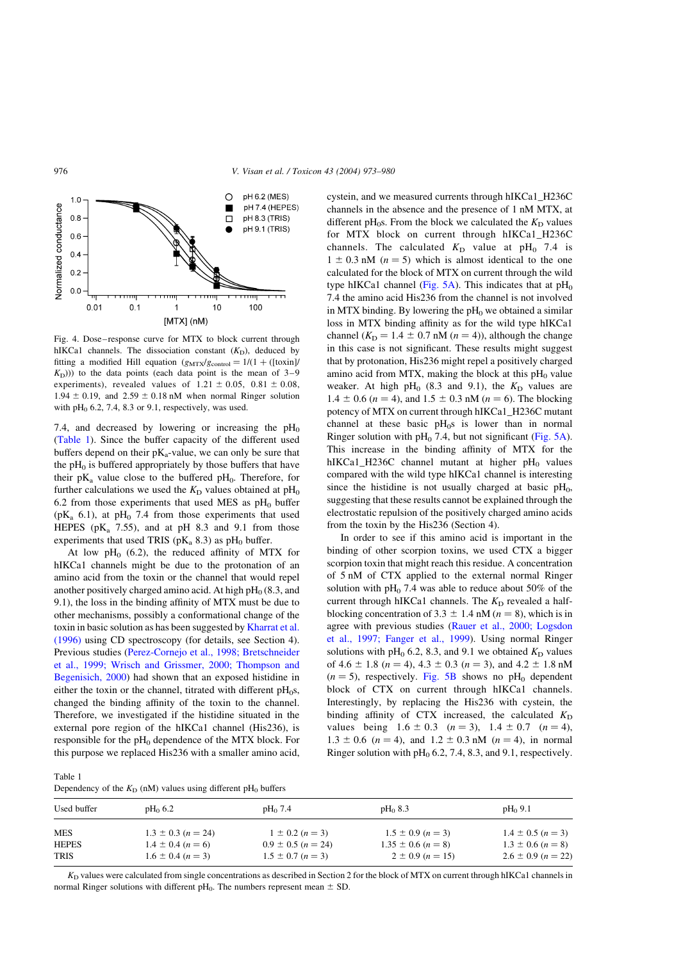<span id="page-3-0"></span>

Fig. 4. Dose–response curve for MTX to block current through hIKCa1 channels. The dissociation constant  $(K_D)$ , deduced by fitting a modified Hill equation  $(g_{\text{MTX}}/g_{\text{control}} = 1/(1 + ([\text{toxin}])$  $(K<sub>D</sub>$ ))) to the data points (each data point is the mean of 3–9 experiments), revealed values of  $1.21 \pm 0.05$ ,  $0.81 \pm 0.08$ ,  $1.94 \pm 0.19$ , and  $2.59 \pm 0.18$  nM when normal Ringer solution with  $pH<sub>0</sub>$  6.2, 7.4, 8.3 or 9.1, respectively, was used.

7.4, and decreased by lowering or increasing the  $pH_0$ (Table 1). Since the buffer capacity of the different used buffers depend on their  $pK_a$ -value, we can only be sure that the  $pH_0$  is buffered appropriately by those buffers that have their  $pK_a$  value close to the buffered  $pH_0$ . Therefore, for further calculations we used the  $K<sub>D</sub>$  values obtained at pH<sub>0</sub> 6.2 from those experiments that used MES as  $pH_0$  buffer ( $pK_a$  6.1), at  $pH_0$  7.4 from those experiments that used HEPES ( $pK_a$  7.55), and at  $pH$  8.3 and 9.1 from those experiments that used TRIS ( $pK_a$  8.3) as  $pH_0$  buffer.

At low  $pH_0$  (6.2), the reduced affinity of MTX for hIKCa1 channels might be due to the protonation of an amino acid from the toxin or the channel that would repel another positively charged amino acid. At high  $pH_0$  (8.3, and 9.1), the loss in the binding affinity of MTX must be due to other mechanisms, possibly a conformational change of the toxin in basic solution as has been suggested by [Kharrat et al.](#page-6-0) [\(1996\)](#page-6-0) using CD spectroscopy (for details, see Section 4). Previous studies ([Perez-Cornejo et al., 1998; Bretschneider](#page-7-0) [et al., 1999; Wrisch and Grissmer, 2000; Thompson and](#page-7-0) [Begenisich, 2000\)](#page-7-0) had shown that an exposed histidine in either the toxin or the channel, titrated with different  $pH_0s$ , changed the binding affinity of the toxin to the channel. Therefore, we investigated if the histidine situated in the external pore region of the hIKCa1 channel (His236), is responsible for the pH<sub>0</sub> dependence of the MTX block. For this purpose we replaced His236 with a smaller amino acid, cystein, and we measured currents through hIKCa1\_H236C channels in the absence and the presence of 1 nM MTX, at different pH<sub>0</sub>s. From the block we calculated the  $K<sub>D</sub>$  values for MTX block on current through hIKCa1\_H236C channels. The calculated  $K_D$  value at pH<sub>0</sub> 7.4 is  $1 \pm 0.3$  nM  $(n = 5)$  which is almost identical to the one calculated for the block of MTX on current through the wild type hIKCa1 channel ([Fig. 5A\)](#page-4-0). This indicates that at  $pH_0$ 7.4 the amino acid His236 from the channel is not involved in MTX binding. By lowering the  $pH_0$  we obtained a similar loss in MTX binding affinity as for the wild type hIKCa1 channel ( $K<sub>D</sub> = 1.4 \pm 0.7$  nM  $(n = 4)$ ), although the change in this case is not significant. These results might suggest that by protonation, His236 might repel a positively charged amino acid from MTX, making the block at this  $pH_0$  value weaker. At high pH<sub>0</sub> (8.3 and 9.1), the  $K_D$  values are  $1.4 \pm 0.6$   $(n = 4)$ , and  $1.5 \pm 0.3$  nM  $(n = 6)$ . The blocking potency of MTX on current through hIKCa1\_H236C mutant channel at these basic  $pH_0s$  is lower than in normal Ringer solution with  $pH_0$  7.4, but not significant ([Fig. 5A](#page-4-0)). This increase in the binding affinity of MTX for the hIKCa1\_H236C channel mutant at higher  $pH_0$  values compared with the wild type hIKCa1 channel is interesting since the histidine is not usually charged at basic  $pH_0$ , suggesting that these results cannot be explained through the electrostatic repulsion of the positively charged amino acids from the toxin by the His236 (Section 4).

In order to see if this amino acid is important in the binding of other scorpion toxins, we used CTX a bigger scorpion toxin that might reach this residue. A concentration of 5 nM of CTX applied to the external normal Ringer solution with  $pH_0$  7.4 was able to reduce about 50% of the current through hIKCa1 channels. The  $K<sub>D</sub>$  revealed a halfblocking concentration of 3.3  $\pm$  1.4 nM ( $n = 8$ ), which is in agree with previous studies ([Rauer et al., 2000; Logsdon](#page-7-0) [et al., 1997; Fanger et al., 1999\)](#page-7-0). Using normal Ringer solutions with pH<sub>0</sub> 6.2, 8.3, and 9.1 we obtained  $K<sub>D</sub>$  values of 4.6  $\pm$  1.8 (n = 4), 4.3  $\pm$  0.3 (n = 3), and 4.2  $\pm$  1.8 nM  $(n = 5)$ , respectively. [Fig. 5B](#page-4-0) shows no pH<sub>0</sub> dependent block of CTX on current through hIKCa1 channels. Interestingly, by replacing the His236 with cystein, the binding affinity of CTX increased, the calculated  $K_D$ values being  $1.6 \pm 0.3$   $(n = 3)$ ,  $1.4 \pm 0.7$   $(n = 4)$ ,  $1.3 \pm 0.6$   $(n = 4)$ , and  $1.2 \pm 0.3$  nM  $(n = 4)$ , in normal Ringer solution with  $pH<sub>0</sub>$  6.2, 7.4, 8.3, and 9.1, respectively.

| Table 1                                                                     |
|-----------------------------------------------------------------------------|
| Dependency of the $K_D$ (nM) values using different pH <sub>0</sub> buffers |

| Used buffer                               | $pH_0$ 6.2                                                                   | $pH_0$ 7.4                                                               | $pH_0$ 8.3                                                              | $pH_0$ 9.1                                                               |
|-------------------------------------------|------------------------------------------------------------------------------|--------------------------------------------------------------------------|-------------------------------------------------------------------------|--------------------------------------------------------------------------|
| <b>MES</b><br><b>HEPES</b><br><b>TRIS</b> | $1.3 \pm 0.3$ (n = 24)<br>$1.4 \pm 0.4$ $(n = 6)$<br>$1.6 \pm 0.4$ $(n = 3)$ | $1 \pm 0.2$ $(n = 3)$<br>$0.9 \pm 0.5$ (n = 24)<br>$1.5 \pm 0.7$ (n = 3) | $1.5 \pm 0.9$ (n = 3)<br>$1.35 \pm 0.6$ (n = 8)<br>$2 \pm 0.9$ (n = 15) | $1.4 \pm 0.5$ (n = 3)<br>$1.3 \pm 0.6$ (n = 8)<br>$2.6 \pm 0.9$ (n = 22) |

 $K<sub>D</sub>$  values were calculated from single concentrations as described in Section 2 for the block of MTX on current through hIKCa1 channels in normal Ringer solutions with different pH<sub>0</sub>. The numbers represent mean  $\pm$  SD.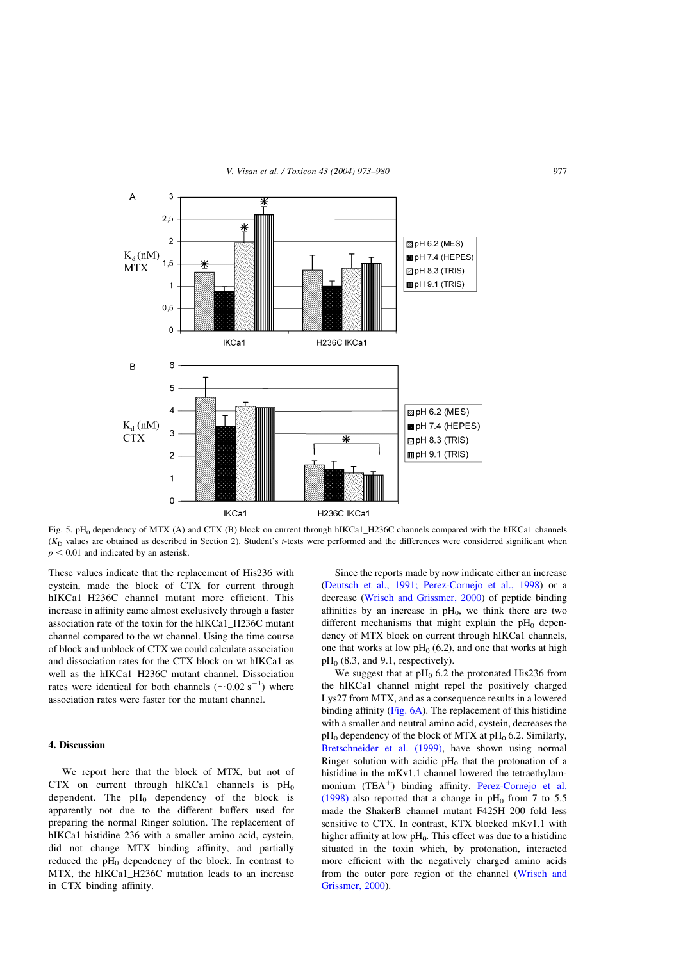<span id="page-4-0"></span>

Fig. 5. pH<sub>0</sub> dependency of MTX (A) and CTX (B) block on current through hIKCa1\_H236C channels compared with the hIKCa1 channels  $(K<sub>D</sub>$  values are obtained as described in Section 2). Student's t-tests were performed and the differences were considered significant when  $p < 0.01$  and indicated by an asterisk.

These values indicate that the replacement of His236 with cystein, made the block of CTX for current through hIKCa1\_H236C channel mutant more efficient. This increase in affinity came almost exclusively through a faster association rate of the toxin for the hIKCa1\_H236C mutant channel compared to the wt channel. Using the time course of block and unblock of CTX we could calculate association and dissociation rates for the CTX block on wt hIKCa1 as well as the hIKCa1\_H236C mutant channel. Dissociation rates were identical for both channels  $({\sim}0.02~{\rm s}^{-1})$  where association rates were faster for the mutant channel.

#### 4. Discussion

We report here that the block of MTX, but not of CTX on current through hIKCa1 channels is  $pH_0$ dependent. The  $pH_0$  dependency of the block is apparently not due to the different buffers used for preparing the normal Ringer solution. The replacement of hIKCa1 histidine 236 with a smaller amino acid, cystein, did not change MTX binding affinity, and partially reduced the  $pH_0$  dependency of the block. In contrast to MTX, the hIKCa1\_H236C mutation leads to an increase in CTX binding affinity.

Since the reports made by now indicate either an increase ([Deutsch et al., 1991; Perez-Cornejo et al., 1998\)](#page-6-0) or a decrease [\(Wrisch and Grissmer, 2000\)](#page-7-0) of peptide binding affinities by an increase in  $pH_0$ , we think there are two different mechanisms that might explain the  $pH_0$  dependency of MTX block on current through hIKCa1 channels, one that works at low  $pH_0$  (6.2), and one that works at high  $pH<sub>0</sub>$  (8.3, and 9.1, respectively).

We suggest that at  $pH_0$  6.2 the protonated His236 from the hIKCa1 channel might repel the positively charged Lys27 from MTX, and as a consequence results in a lowered binding affinity [\(Fig. 6A\)](#page-5-0). The replacement of this histidine with a smaller and neutral amino acid, cystein, decreases the  $pH_0$  dependency of the block of MTX at  $pH_0$  6.2. Similarly, [Bretschneider et al. \(1999\)](#page-6-0), have shown using normal Ringer solution with acidic  $pH_0$  that the protonation of a histidine in the mKv1.1 channel lowered the tetraethylammonium  $(TEA^+)$  binding affinity. [Perez-Cornejo et al.](#page-7-0) [\(1998\)](#page-7-0) also reported that a change in  $pH_0$  from 7 to 5.5 made the ShakerB channel mutant F425H 200 fold less sensitive to CTX. In contrast, KTX blocked mKv1.1 with higher affinity at low  $pH_0$ . This effect was due to a histidine situated in the toxin which, by protonation, interacted more efficient with the negatively charged amino acids from the outer pore region of the channel [\(Wrisch and](#page-7-0) [Grissmer, 2000](#page-7-0)).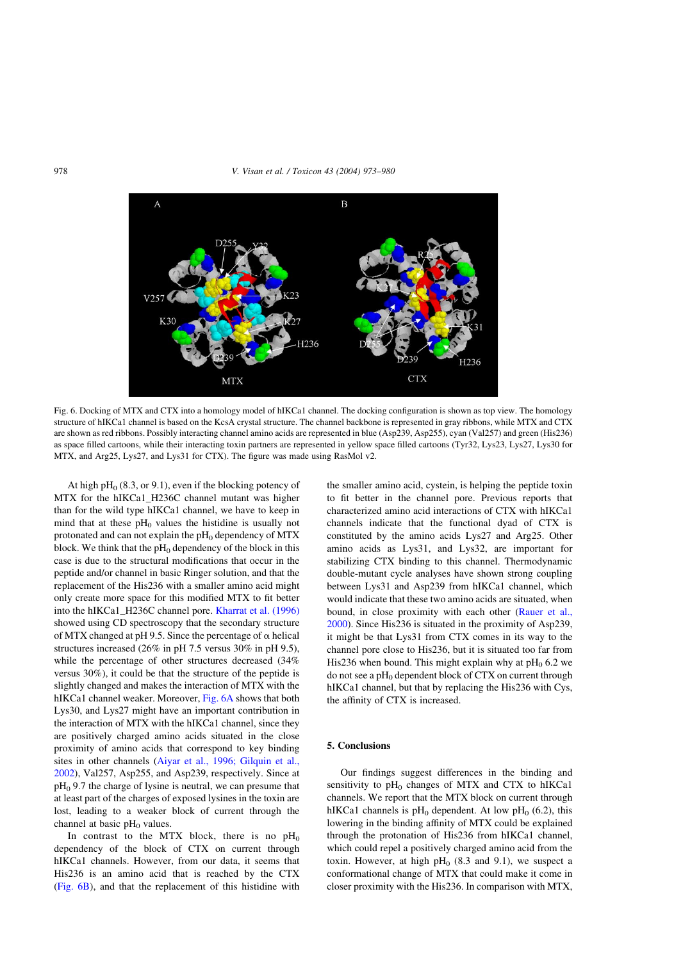#### <span id="page-5-0"></span>978 V. Visan et al. / Toxicon 43 (2004) 973–980



Fig. 6. Docking of MTX and CTX into a homology model of hIKCa1 channel. The docking configuration is shown as top view. The homology structure of hIKCa1 channel is based on the KcsA crystal structure. The channel backbone is represented in gray ribbons, while MTX and CTX are shown as red ribbons. Possibly interacting channel amino acids are represented in blue (Asp239, Asp255), cyan (Val257) and green (His236) as space filled cartoons, while their interacting toxin partners are represented in yellow space filled cartoons (Tyr32, Lys23, Lys27, Lys30 for MTX, and Arg25, Lys27, and Lys31 for CTX). The figure was made using RasMol v2.

At high  $pH_0$  (8.3, or 9.1), even if the blocking potency of MTX for the hIKCa1\_H236C channel mutant was higher than for the wild type hIKCa1 channel, we have to keep in mind that at these  $pH_0$  values the histidine is usually not protonated and can not explain the  $pH_0$  dependency of MTX block. We think that the  $pH_0$  dependency of the block in this case is due to the structural modifications that occur in the peptide and/or channel in basic Ringer solution, and that the replacement of the His236 with a smaller amino acid might only create more space for this modified MTX to fit better into the hIKCa1\_H236C channel pore. [Kharrat et al. \(1996\)](#page-6-0) showed using CD spectroscopy that the secondary structure of MTX changed at pH 9.5. Since the percentage of  $\alpha$  helical structures increased (26% in pH 7.5 versus 30% in pH 9.5), while the percentage of other structures decreased (34% versus 30%), it could be that the structure of the peptide is slightly changed and makes the interaction of MTX with the hIKCa1 channel weaker. Moreover, Fig. 6A shows that both Lys30, and Lys27 might have an important contribution in the interaction of MTX with the hIKCa1 channel, since they are positively charged amino acids situated in the close proximity of amino acids that correspond to key binding sites in other channels ([Aiyar et al., 1996; Gilquin et al.,](#page-6-0) [2002](#page-6-0)), Val257, Asp255, and Asp239, respectively. Since at  $pH<sub>0</sub>$  9.7 the charge of lysine is neutral, we can presume that at least part of the charges of exposed lysines in the toxin are lost, leading to a weaker block of current through the channel at basic  $pH_0$  values.

In contrast to the MTX block, there is no  $pH_0$ dependency of the block of CTX on current through hIKCa1 channels. However, from our data, it seems that His236 is an amino acid that is reached by the CTX (Fig. 6B), and that the replacement of this histidine with

the smaller amino acid, cystein, is helping the peptide toxin to fit better in the channel pore. Previous reports that characterized amino acid interactions of CTX with hIKCa1 channels indicate that the functional dyad of CTX is constituted by the amino acids Lys27 and Arg25. Other amino acids as Lys31, and Lys32, are important for stabilizing CTX binding to this channel. Thermodynamic double-mutant cycle analyses have shown strong coupling between Lys31 and Asp239 from hIKCa1 channel, which would indicate that these two amino acids are situated, when bound, in close proximity with each other [\(Rauer et al.,](#page-7-0) [2000](#page-7-0)). Since His236 is situated in the proximity of Asp239, it might be that Lys31 from CTX comes in its way to the channel pore close to His236, but it is situated too far from His236 when bound. This might explain why at  $pH_0$  6.2 we do not see a  $pH_0$  dependent block of CTX on current through hIKCa1 channel, but that by replacing the His236 with Cys, the affinity of CTX is increased.

#### 5. Conclusions

Our findings suggest differences in the binding and sensitivity to  $pH_0$  changes of MTX and CTX to hIKCa1 channels. We report that the MTX block on current through hIKCa1 channels is  $pH_0$  dependent. At low  $pH_0$  (6.2), this lowering in the binding affinity of MTX could be explained through the protonation of His236 from hIKCa1 channel, which could repel a positively charged amino acid from the toxin. However, at high  $pH<sub>0</sub>$  (8.3 and 9.1), we suspect a conformational change of MTX that could make it come in closer proximity with the His236. In comparison with MTX,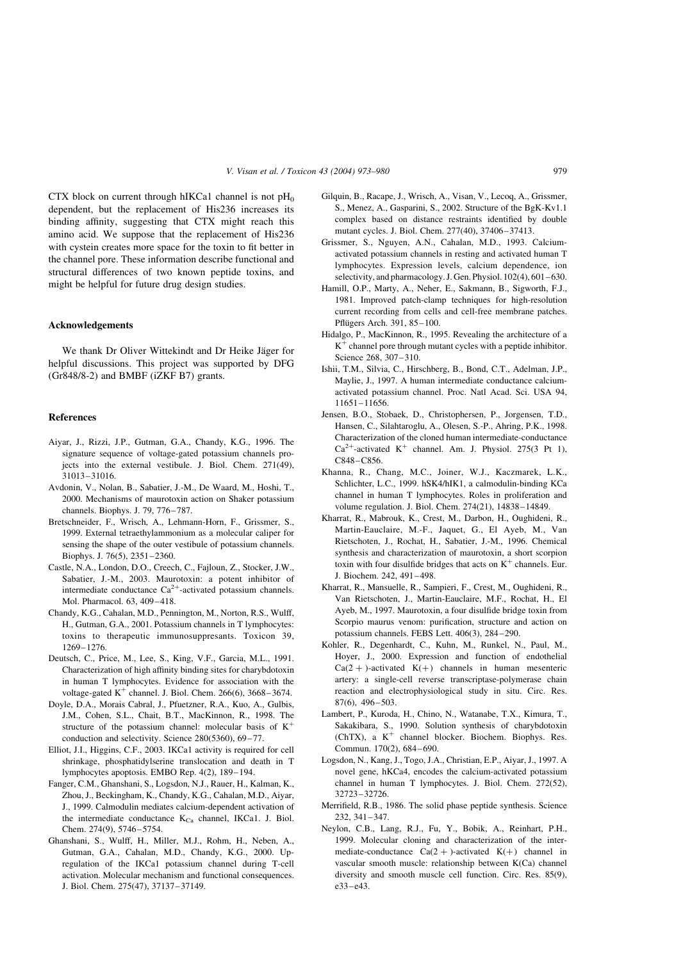<span id="page-6-0"></span>CTX block on current through hIKCa1 channel is not  $pH_0$ dependent, but the replacement of His236 increases its binding affinity, suggesting that CTX might reach this amino acid. We suppose that the replacement of His236 with cystein creates more space for the toxin to fit better in the channel pore. These information describe functional and structural differences of two known peptide toxins, and might be helpful for future drug design studies.

#### Acknowledgements

We thank Dr Oliver Wittekindt and Dr Heike Jäger for helpful discussions. This project was supported by DFG (Gr848/8-2) and BMBF (iZKF B7) grants.

#### References

- Aiyar, J., Rizzi, J.P., Gutman, G.A., Chandy, K.G., 1996. The signature sequence of voltage-gated potassium channels projects into the external vestibule. J. Biol. Chem. 271(49), 31013–31016.
- Avdonin, V., Nolan, B., Sabatier, J.-M., De Waard, M., Hoshi, T., 2000. Mechanisms of maurotoxin action on Shaker potassium channels. Biophys. J. 79, 776–787.
- Bretschneider, F., Wrisch, A., Lehmann-Horn, F., Grissmer, S., 1999. External tetraethylammonium as a molecular caliper for sensing the shape of the outer vestibule of potassium channels. Biophys. J. 76(5), 2351–2360.
- Castle, N.A., London, D.O., Creech, C., Fajloun, Z., Stocker, J.W., Sabatier, J.-M., 2003. Maurotoxin: a potent inhibitor of intermediate conductance  $Ca^{2+}$ -activated potassium channels. Mol. Pharmacol. 63, 409–418.
- Chandy, K.G., Cahalan, M.D., Pennington, M., Norton, R.S., Wulff, H., Gutman, G.A., 2001. Potassium channels in T lymphocytes: toxins to therapeutic immunosuppresants. Toxicon 39, 1269–1276.
- Deutsch, C., Price, M., Lee, S., King, V.F., Garcia, M.L., 1991. Characterization of high affinity binding sites for charybdotoxin in human T lymphocytes. Evidence for association with the voltage-gated  $K^+$  channel. J. Biol. Chem. 266(6), 3668–3674.
- Doyle, D.A., Morais Cabral, J., Pfuetzner, R.A., Kuo, A., Gulbis, J.M., Cohen, S.L., Chait, B.T., MacKinnon, R., 1998. The structure of the potassium channel: molecular basis of  $K^+$ conduction and selectivity. Science 280(5360), 69–77.
- Elliot, J.I., Higgins, C.F., 2003. IKCa1 activity is required for cell shrinkage, phosphatidylserine translocation and death in T lymphocytes apoptosis. EMBO Rep. 4(2), 189–194.
- Fanger, C.M., Ghanshani, S., Logsdon, N.J., Rauer, H., Kalman, K., Zhou, J., Beckingham, K., Chandy, K.G., Cahalan, M.D., Aiyar, J., 1999. Calmodulin mediates calcium-dependent activation of the intermediate conductance  $K_{Ca}$  channel, IKCa1. J. Biol. Chem. 274(9), 5746–5754.
- Ghanshani, S., Wulff, H., Miller, M.J., Rohm, H., Neben, A., Gutman, G.A., Cahalan, M.D., Chandy, K.G., 2000. Upregulation of the IKCa1 potassium channel during T-cell activation. Molecular mechanism and functional consequences. J. Biol. Chem. 275(47), 37137–37149.
- Gilquin, B., Racape, J., Wrisch, A., Visan, V., Lecoq, A., Grissmer, S., Menez, A., Gasparini, S., 2002. Structure of the BgK-Kv1.1 complex based on distance restraints identified by double mutant cycles. J. Biol. Chem. 277(40), 37406–37413.
- Grissmer, S., Nguyen, A.N., Cahalan, M.D., 1993. Calciumactivated potassium channels in resting and activated human T lymphocytes. Expression levels, calcium dependence, ion selectivity, and pharmacology. J. Gen. Physiol. 102(4), 601–630.
- Hamill, O.P., Marty, A., Neher, E., Sakmann, B., Sigworth, F.J., 1981. Improved patch-clamp techniques for high-resolution current recording from cells and cell-free membrane patches. Pflügers Arch. 391, 85-100.
- Hidalgo, P., MacKinnon, R., 1995. Revealing the architecture of a  $K^+$  channel pore through mutant cycles with a peptide inhibitor. Science 268, 307–310.
- Ishii, T.M., Silvia, C., Hirschberg, B., Bond, C.T., Adelman, J.P., Maylie, J., 1997. A human intermediate conductance calciumactivated potassium channel. Proc. Natl Acad. Sci. USA 94, 11651–11656.
- Jensen, B.O., Stobaek, D., Christophersen, P., Jorgensen, T.D., Hansen, C., Silahtaroglu, A., Olesen, S.-P., Ahring, P.K., 1998. Characterization of the cloned human intermediate-conductance  $Ca^{2+}$ -activated K<sup>+</sup> channel. Am. J. Physiol. 275(3 Pt 1), C848–C856.
- Khanna, R., Chang, M.C., Joiner, W.J., Kaczmarek, L.K., Schlichter, L.C., 1999. hSK4/hIK1, a calmodulin-binding KCa channel in human T lymphocytes. Roles in proliferation and volume regulation. J. Biol. Chem. 274(21), 14838–14849.
- Kharrat, R., Mabrouk, K., Crest, M., Darbon, H., Oughideni, R., Martin-Eauclaire, M.-F., Jaquet, G., El Ayeb, M., Van Rietschoten, J., Rochat, H., Sabatier, J.-M., 1996. Chemical synthesis and characterization of maurotoxin, a short scorpion toxin with four disulfide bridges that acts on  $K^+$  channels. Eur. J. Biochem. 242, 491–498.
- Kharrat, R., Mansuelle, R., Sampieri, F., Crest, M., Oughideni, R., Van Rietschoten, J., Martin-Eauclaire, M.F., Rochat, H., El Ayeb, M., 1997. Maurotoxin, a four disulfide bridge toxin from Scorpio maurus venom: purification, structure and action on potassium channels. FEBS Lett. 406(3), 284–290.
- Kohler, R., Degenhardt, C., Kuhn, M., Runkel, N., Paul, M., Hoyer, J., 2000. Expression and function of endothelial  $Ca(2 + )$ -activated K(+) channels in human mesenteric artery: a single-cell reverse transcriptase-polymerase chain reaction and electrophysiological study in situ. Circ. Res. 87(6), 496–503.
- Lambert, P., Kuroda, H., Chino, N., Watanabe, T.X., Kimura, T., Sakakibara, S., 1990. Solution synthesis of charybdotoxin (ChTX), a  $K^+$  channel blocker. Biochem. Biophys. Res. Commun. 170(2), 684–690.
- Logsdon, N., Kang, J., Togo, J.A., Christian, E.P., Aiyar, J., 1997. A novel gene, hKCa4, encodes the calcium-activated potassium channel in human T lymphocytes. J. Biol. Chem. 272(52), 32723–32726.
- Merrifield, R.B., 1986. The solid phase peptide synthesis. Science 232, 341–347.
- Neylon, C.B., Lang, R.J., Fu, Y., Bobik, A., Reinhart, P.H., 1999. Molecular cloning and characterization of the intermediate-conductance  $Ca(2 + )$ -activated  $K(+)$  channel in vascular smooth muscle: relationship between K(Ca) channel diversity and smooth muscle cell function. Circ. Res. 85(9), e33–e43.